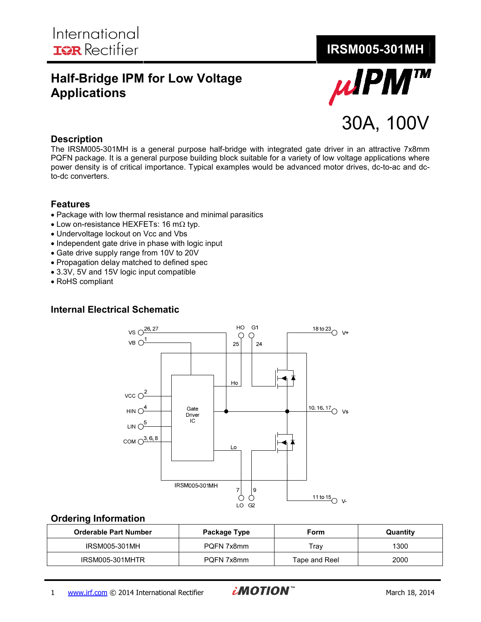# **Half-Bridge IPM for Low Voltage Applications**



#### **Description**

The IRSM005-301MH is a general purpose half-bridge with integrated gate driver in an attractive 7x8mm PQFN package. It is a general purpose building block suitable for a variety of low voltage applications where power density is of critical importance. Typical examples would be advanced motor drives, dc-to-ac and dcto-dc converters.

# **Features**

- Package with low thermal resistance and minimal parasitics
- Low on-resistance HEXFETs: 16 mΩ typ.
- Undervoltage lockout on Vcc and Vbs
- Independent gate drive in phase with logic input
- Gate drive supply range from 10V to 20V
- Propagation delay matched to defined spec
- 3.3V, 5V and 15V logic input compatible
- RoHS compliant

#### **Internal Electrical Schematic**



#### **Ordering Information**

| <b>Orderable Part Number</b> | Package Type | Form          | Quantity |
|------------------------------|--------------|---------------|----------|
| IRSM005-301MH                | PQFN 7x8mm   | Trav          | 1300     |
| IRSM005-301MHTR              | PQFN 7x8mm   | Tape and Reel | 2000     |

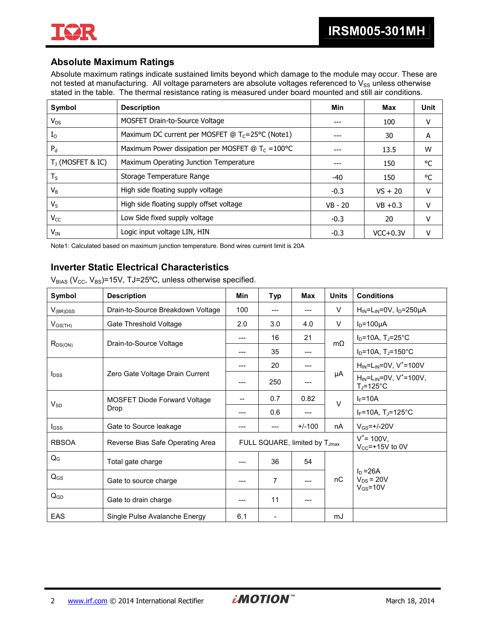

# **Absolute Maximum Ratings**

Absolute maximum ratings indicate sustained limits beyond which damage to the module may occur. These are not tested at manufacturing. All voltage parameters are absolute voltages referenced to  $V_{SS}$  unless otherwise stated in the table. The thermal resistance rating is measured under board mounted and still air conditions.

| Symbol              | <b>Description</b>                                          | Min       | Max        | Unit   |
|---------------------|-------------------------------------------------------------|-----------|------------|--------|
| $V_{DS}$            | MOSFET Drain-to-Source Voltage                              |           | 100        | v      |
| $I_{\Omega}$        | Maximum DC current per MOSFET @ $T_c = 25^{\circ}C$ (Note1) |           | 30         | A      |
| $P_{d}$             | Maximum Power dissipation per MOSFET @ $T_c = 100^{\circ}C$ |           | 13.5       | W      |
| $T_1$ (MOSFET & IC) | Maximum Operating Junction Temperature                      |           | 150        | °C     |
| $T_S$               | Storage Temperature Range                                   | -40       | 150        | °C     |
| $V_{\rm B}$         | High side floating supply voltage                           | $-0.3$    | $VS + 20$  | $\vee$ |
| $V_{S}$             | High side floating supply offset voltage                    | $VB - 20$ | $VB + 0.3$ | v      |
| $V_{CC}$            | Low Side fixed supply voltage                               | $-0.3$    | 20         | $\vee$ |
| $V_{IN}$            | Logic input voltage LIN, HIN                                | $-0.3$    | $VCC+0.3V$ | v      |

Note1: Calculated based on maximum junction temperature. Bond wires current limit is 20A

# **Inverter Static Electrical Characteristics**

 $V_{BIAS}$  (V<sub>CC</sub>, V<sub>BS</sub>)=15V, TJ=25°C, unless otherwise specified.

| Symbol                  | <b>Description</b>                | <b>Min</b> | <b>Typ</b>                                | Max      | <b>Units</b> | <b>Conditions</b>                                         |
|-------------------------|-----------------------------------|------------|-------------------------------------------|----------|--------------|-----------------------------------------------------------|
| $V_{(BR)DSS}$           | Drain-to-Source Breakdown Voltage | 100        |                                           | ---      | V            | $H_{IN}$ =L <sub>IN</sub> =0V, I <sub>D</sub> =250µA      |
| $V_{GS(TH)}$            | Gate Threshold Voltage            | 2.0        | 3.0                                       | 4.0      | V            | $I_D = 100 \mu A$                                         |
|                         | Drain-to-Source Voltage           | ---        | 16                                        | 21       | $m\Omega$    | $I_D = 10A$ , T <sub>J</sub> =25°C                        |
| $R_{DS(ON)}$            |                                   | $---$      | 35                                        | ---      |              | $I_D = 10A$ , T <sub>J</sub> =150°C                       |
|                         |                                   | ---        | 20                                        | ---      |              | $H_{IN} = L_{IN} = 0V$ , V <sup>+</sup> =100V             |
| <b>l</b> <sub>DSS</sub> | Zero Gate Voltage Drain Current   |            | 250                                       |          | μA           | $H_{IN} = L_{IN} = 0V$ , $V^* = 100V$ ,<br>$T_J = 125$ °C |
| $V_{SD}$                | MOSFET Diode Forward Voltage      |            | 0.7                                       | 0.82     | $\vee$       | $I_F = 10A$                                               |
|                         | Drop                              |            | 0.6                                       | ---      |              | $I_F$ =10A, T <sub>J</sub> =125°C                         |
| $_{\text{GSS}}$         | Gate to Source leakage            | ---        |                                           | $+/-100$ | nA           | $V_{GS} = +1 - 20V$                                       |
| <b>RBSOA</b>            | Reverse Bias Safe Operating Area  |            | FULL SQUARE, limited by T <sub>Jmax</sub> |          |              | $V^*$ = 100V,<br>$V_{CC}$ =+15V to 0V                     |
| $Q_{G}$                 | Total gate charge                 |            | 36                                        | 54       |              |                                                           |
| $Q_{GS}$                | Gate to source charge             |            | 7                                         |          | nC           | $I_D = 26A$<br>$V_{DS}$ = 20V<br>$V_{GS} = 10V$           |
| $Q_{GD}$                | Gate to drain charge              |            | 11                                        |          |              |                                                           |
| EAS                     | Single Pulse Avalanche Energy     | 6.1        | $\overline{\phantom{a}}$                  |          | mJ           |                                                           |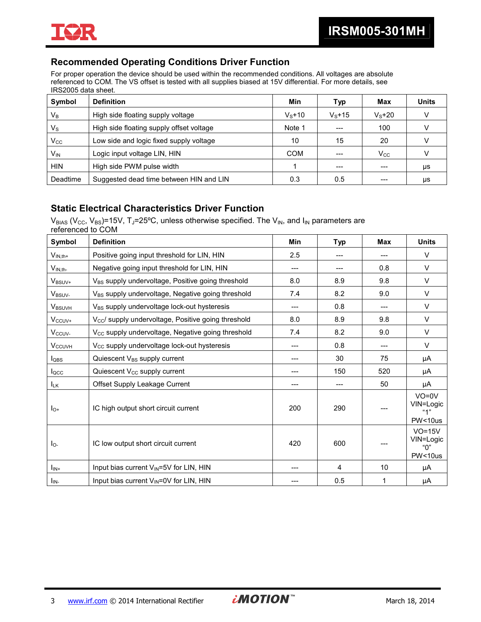

# **Recommended Operating Conditions Driver Function**

For proper operation the device should be used within the recommended conditions. All voltages are absolute referenced to COM. The VS offset is tested with all supplies biased at 15V differential. For more details, see IRS2005 data sheet.

| Symbol                  | <b>Definition</b>                        | Min        | Typ     | Max          | <b>Units</b> |
|-------------------------|------------------------------------------|------------|---------|--------------|--------------|
| $V_B$                   | High side floating supply voltage        | $V_s + 10$ | $Vs+15$ | $Vs+20$      |              |
| $\mathsf{V}_\mathsf{S}$ | High side floating supply offset voltage | Note 1     | ---     | 100          |              |
| $\rm V_{CC}$            | Low side and logic fixed supply voltage  | 10         | 15      | 20           |              |
| V <sub>IN</sub>         | Logic input voltage LIN, HIN             | <b>COM</b> |         | $\rm V_{CC}$ |              |
| <b>HIN</b>              | High side PWM pulse width                |            | ---     | $---$        | μs           |
| Deadtime                | Suggested dead time between HIN and LIN  | 0.3        | 0.5     | $---$        | μs           |

#### **Static Electrical Characteristics Driver Function**

 $V_{BIAS}$  (V<sub>CC</sub>, V<sub>BS</sub>)=15V, T<sub>J</sub>=25°C, unless otherwise specified. The V<sub>IN</sub>, and I<sub>IN</sub> parameters are referenced to COM

| Symbol                   | <b>Definition</b>                                               | Min | <b>Typ</b> | <b>Max</b> | <b>Units</b>                                      |
|--------------------------|-----------------------------------------------------------------|-----|------------|------------|---------------------------------------------------|
| $V_{IN,th+}$             | Positive going input threshold for LIN, HIN                     | 2.5 | ---        | $---$      | $\vee$                                            |
| $V_{IN,th-}$             | Negative going input threshold for LIN, HIN                     | --- | ---        | 0.8        | $\vee$                                            |
| V <sub>BSUV+</sub>       | V <sub>BS</sub> supply undervoltage, Positive going threshold   | 8.0 | 8.9        | 9.8        | $\vee$                                            |
| V <sub>BSUV-</sub>       | V <sub>BS</sub> supply undervoltage, Negative going threshold   | 7.4 | 8.2        | 9.0        | $\vee$                                            |
| <b>VBSUVH</b>            | V <sub>BS</sub> supply undervoltage lock-out hysteresis         | --- | 0.8        | ---        | $\vee$                                            |
| $V_{CCUV+}$              | V <sub>cc</sub> / supply undervoltage, Positive going threshold | 8.0 | 8.9        | 9.8        | $\vee$                                            |
| V <sub>CCUV-</sub>       | V <sub>cc</sub> supply undervoltage, Negative going threshold   | 7.4 | 8.2        | 9.0        | $\vee$                                            |
| <b>V<sub>CCUVH</sub></b> | V <sub>CC</sub> supply undervoltage lock-out hysteresis         | --- | 0.8        | ---        | $\vee$                                            |
| <b>l</b> obs             | Quiescent V <sub>BS</sub> supply current                        | --- | 30         | 75         | μA                                                |
| $I_{\text{QCC}}$         | Quiescent V <sub>CC</sub> supply current                        | --- | 150        | 520        | μA                                                |
| <b>ILK</b>               | Offset Supply Leakage Current                                   | --- | ---        | 50         | μA                                                |
| $I_{O^+}$                | IC high output short circuit current                            | 200 | 290        |            | $VO=0V$<br>VIN=Logic<br>"1"<br>PW<10us            |
| $I_{\text{O}-}$          | IC low output short circuit current                             |     | 600        |            | $VO=15V$<br>VIN=Logic<br>"በ"<br><b>PW&lt;10us</b> |
| $I_{IN+}$                | Input bias current $V_{\text{IN}} = 5V$ for LIN, HIN            | --- | 4          | 10         | μA                                                |
| $I_{IN}$                 | Input bias current V <sub>IN</sub> =0V for LIN, HIN             |     | 0.5        | 1          | μA                                                |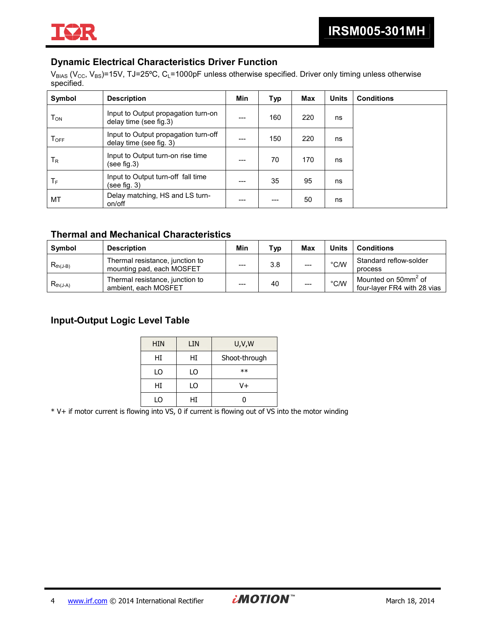

# **Dynamic Electrical Characteristics Driver Function**

 $V_{BIAS}$  (V<sub>CC</sub>, V<sub>BS</sub>)=15V, TJ=25°C, C<sub>L</sub>=1000pF unless otherwise specified. Driver only timing unless otherwise specified.

| Symbol             | <b>Description</b>                                              | Min   | <b>Typ</b> | Max | <b>Units</b> | <b>Conditions</b> |
|--------------------|-----------------------------------------------------------------|-------|------------|-----|--------------|-------------------|
| Том                | Input to Output propagation turn-on<br>delay time (see fig.3)   | ---   | 160        | 220 | ns           |                   |
| $T_{\mathsf{OFF}}$ | Input to Output propagation turn-off<br>delay time (see fig. 3) | ---   | 150        | 220 | ns           |                   |
| T <sub>R</sub>     | Input to Output turn-on rise time<br>(see fig.3)                | $---$ | 70         | 170 | ns           |                   |
| ТF                 | Input to Output turn-off fall time<br>(see fig. 3)              | $---$ | 35         | 95  | ns           |                   |
| МT                 | Delay matching, HS and LS turn-<br>on/off                       |       | ---        | 50  | ns           |                   |

# **Thermal and Mechanical Characteristics**

| <b>Symbol</b> | <b>Description</b>                                           | Min   | Typ | Max   | <b>Units</b>   | <b>Conditions</b>                                              |
|---------------|--------------------------------------------------------------|-------|-----|-------|----------------|----------------------------------------------------------------|
| $R_{th(J-B)}$ | Thermal resistance, junction to<br>mounting pad, each MOSFET | $---$ | 3.8 | $---$ | $^{\circ}$ C/W | Standard reflow-solder<br>process                              |
| $R_{th(J-A)}$ | Thermal resistance, junction to<br>ambient, each MOSFET      | $---$ | 40  |       | $\degree$ C/W  | Mounted on 50mm <sup>2</sup> of<br>four-layer FR4 with 28 vias |

# **Input-Output Logic Level Table**

| <b>HIN</b> | LIN | U,V,W         |
|------------|-----|---------------|
| HI         | HI  | Shoot-through |
| LO         | LO  | $**$          |
| HI         | LO  | V+            |
| LO         | Нī  |               |

\* V+ if motor current is flowing into VS, 0 if current is flowing out of VS into the motor winding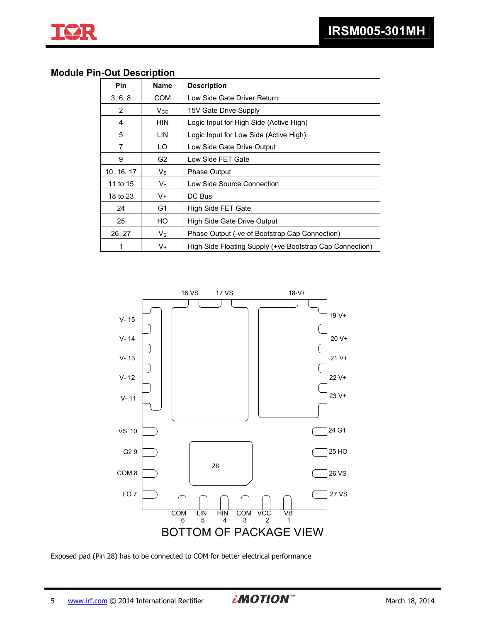

## **Module Pin-Out Description**

| Pin        | <b>Name</b>    | <b>Description</b>                                       |  |
|------------|----------------|----------------------------------------------------------|--|
| 3, 6, 8    | <b>COM</b>     | Low Side Gate Driver Return                              |  |
| 2          | $V_{\rm CC}$   | 15V Gate Drive Supply                                    |  |
| 4          | <b>HIN</b>     | Logic Input for High Side (Active High)                  |  |
| 5          | LIN.           | Logic Input for Low Side (Active High)                   |  |
| 7          | LO.            | Low Side Gate Drive Output                               |  |
| 9          | G <sub>2</sub> | Low Side FET Gate                                        |  |
| 10, 16, 17 | $V_{\rm S}$    | <b>Phase Output</b>                                      |  |
| 11 to 15   | V-             | Low Side Source Connection                               |  |
| 18 to 23   | V+             | DC Bus                                                   |  |
| 24         | G1             | High Side FET Gate                                       |  |
| 25         | HO             | High Side Gate Drive Output                              |  |
| 26, 27     | $V_{\rm S}$    | Phase Output (-ve of Bootstrap Cap Connection)           |  |
| 1          | $V_B$          | High Side Floating Supply (+ve Bootstrap Cap Connection) |  |



Exposed pad (Pin 28) has to be connected to COM for better electrical performance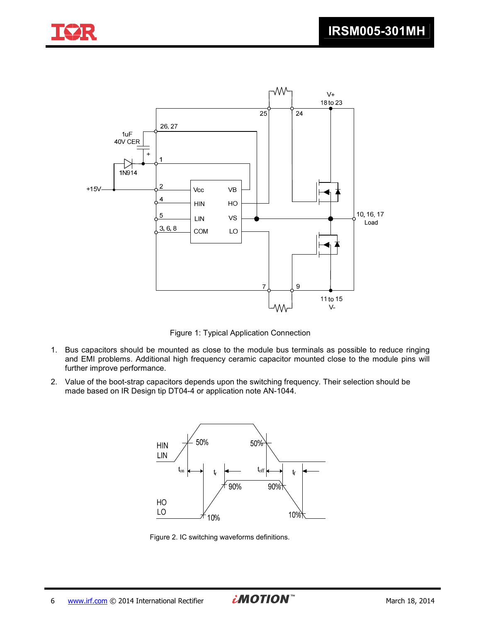



Figure 1: Typical Application Connection

- 1. Bus capacitors should be mounted as close to the module bus terminals as possible to reduce ringing and EMI problems. Additional high frequency ceramic capacitor mounted close to the module pins will further improve performance.
- 2. Value of the boot-strap capacitors depends upon the switching frequency. Their selection should be made based on IR Design tip DT04-4 or application note AN-1044.



Figure 2. IC switching waveforms definitions.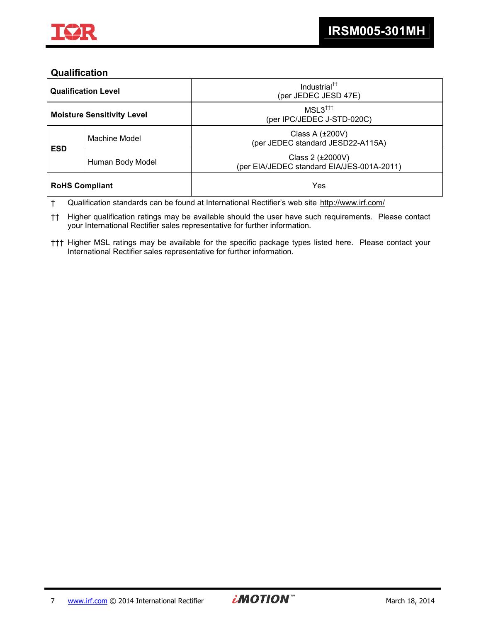

## **Qualification**

| <b>Qualification Level</b> |                                   | Industrial <sup>tt</sup><br>(per JEDEC JESD 47E)               |  |
|----------------------------|-----------------------------------|----------------------------------------------------------------|--|
|                            | <b>Moisture Sensitivity Level</b> | $MSL3^{\dagger\dagger\dagger}$<br>(per IPC/JEDEC J-STD-020C)   |  |
| <b>ESD</b>                 | Machine Model                     | Class A $(\pm 200V)$<br>(per JEDEC standard JESD22-A115A)      |  |
| Human Body Model           |                                   | Class 2 (±2000V)<br>(per EIA/JEDEC standard EIA/JES-001A-2011) |  |
| <b>RoHS Compliant</b>      |                                   | Yes                                                            |  |

† Qualification standards can be found at International Rectifier's web site http://www.irf.com/

†† Higher qualification ratings may be available should the user have such requirements. Please contact your International Rectifier sales representative for further information.

††† Higher MSL ratings may be available for the specific package types listed here. Please contact your International Rectifier sales representative for further information.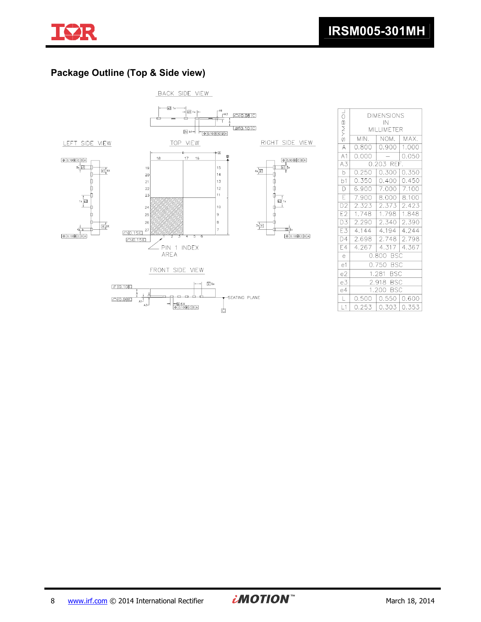

# **Package Outline (Top & Side view)**



| SYMBOL                   | <b>DIMENSIONS</b><br>IN |                 |       |  |  |  |
|--------------------------|-------------------------|-----------------|-------|--|--|--|
|                          |                         | MILLIMETER      |       |  |  |  |
|                          | MIN.                    | NOM.            | MAX.  |  |  |  |
| $\overline{\mathcal{A}}$ | 0.800                   | 0.900           | 1.000 |  |  |  |
| A1                       | 0.000                   |                 | 0.050 |  |  |  |
| A3                       |                         | $0.203$ REF.    |       |  |  |  |
| $\bar{b}$                | 0.250                   | 0.300           | 0.350 |  |  |  |
| b1                       | 0.350                   | 0.400           | 0.450 |  |  |  |
| $\overline{\mathsf{D}}$  | 6.900                   | 7.000           | 7.100 |  |  |  |
| $\overline{\mathsf{E}}$  | 7.900                   | 8.000           | 8.100 |  |  |  |
| D <sub>2</sub>           | 2.323                   | 2.373           | 2.423 |  |  |  |
| E2                       | 1.748                   | 1.798           | 1.848 |  |  |  |
| $\overline{D3}$          | 2.290                   | 2.340           | 2.390 |  |  |  |
| E3                       | 4.144                   | 4.194           | 4.244 |  |  |  |
| D4                       | 2.698                   | 2.748           | 2.798 |  |  |  |
| E4                       | 4.267                   | 4.317           | 4.367 |  |  |  |
| $\rm ^{e}$               | 0.800 BSC               |                 |       |  |  |  |
| e <sub>1</sub>           | 0.750 BSC               |                 |       |  |  |  |
| e2                       | 1.281 BSC               |                 |       |  |  |  |
| e3                       | 2.918 BSC               |                 |       |  |  |  |
| e4                       | 1.200 BSC               |                 |       |  |  |  |
| $\mathsf L$              | 0.500                   | $0.550$ $0.600$ |       |  |  |  |
| L1                       | 0.253                   | 0.303           | 0.353 |  |  |  |
|                          |                         |                 |       |  |  |  |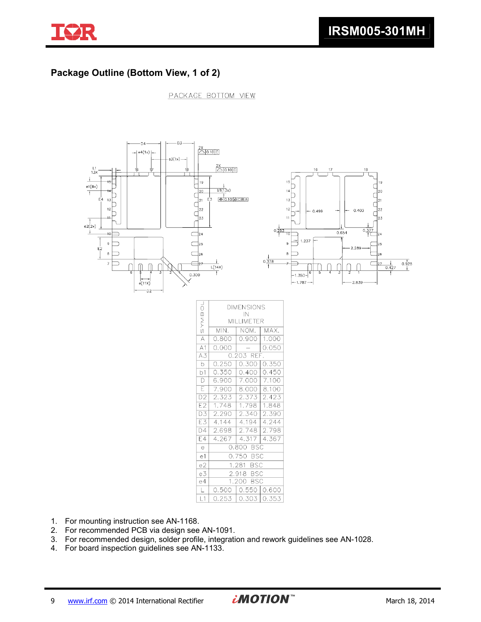

# **Package Outline (Bottom View, 1 of 2)**

PACKAGE BOTTOM VIEW



- 1. For mounting instruction see AN-1168.
- 2. For recommended PCB via design see AN-1091.
- 3. For recommended design, solder profile, integration and rework guidelines see AN-1028.
- 4. For board inspection guidelines see AN-1133.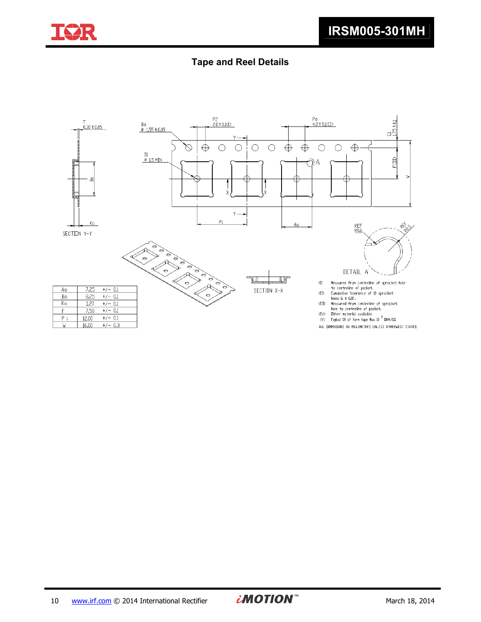

# **Tape and Reel Details**